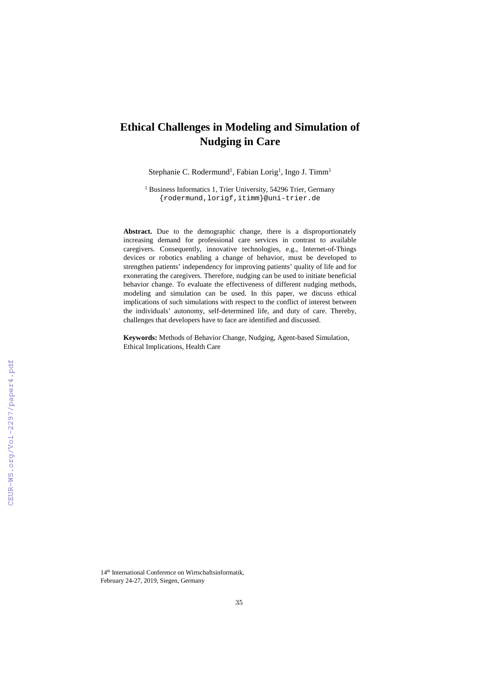# **Ethical Challenges in Modeling and Simulation of Nudging in Care**

Stephanie C. Rodermund<sup>1</sup>, Fabian Lorig<sup>1</sup>, Ingo J. Timm<sup>1</sup>

<sup>1</sup> Business Informatics 1, Trier University, 54296 Trier, Germany {rodermund,lorigf,itimm}@uni-trier.de

**Abstract.** Due to the demographic change, there is a disproportionately increasing demand for professional care services in contrast to available caregivers. Consequently, innovative technologies, e.g., Internet-of-Things devices or robotics enabling a change of behavior, must be developed to strengthen patients' independency for improving patients' quality of life and for exonerating the caregivers. Therefore, nudging can be used to initiate beneficial behavior change. To evaluate the effectiveness of different nudging methods, modeling and simulation can be used. In this paper, we discuss ethical implications of such simulations with respect to the conflict of interest between the individuals' autonomy, self-determined life, and duty of care. Thereby, challenges that developers have to face are identified and discussed.

**Keywords:** Methods of Behavior Change, Nudging, Agent-based Simulation, Ethical Implications, Health Care

14<sup>th</sup> International Conference on Wirtschaftsinformatik, February 24-27, 2019, Siegen, Germany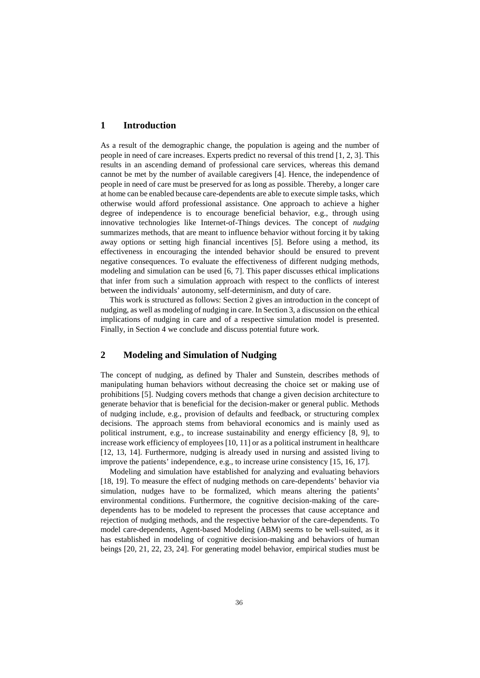## **1 Introduction**

As a result of the demographic change, the population is ageing and the number of people in need of care increases. Experts predict no reversal of this trend [1, 2, 3]. This results in an ascending demand of professional care services, whereas this demand cannot be met by the number of available caregivers [4]. Hence, the independence of people in need of care must be preserved for as long as possible. Thereby, a longer care at home can be enabled because care-dependents are able to execute simple tasks, which otherwise would afford professional assistance. One approach to achieve a higher degree of independence is to encourage beneficial behavior, e.g., through using innovative technologies like Internet-of-Things devices. The concept of *nudging* summarizes methods, that are meant to influence behavior without forcing it by taking away options or setting high financial incentives [5]. Before using a method, its effectiveness in encouraging the intended behavior should be ensured to prevent negative consequences. To evaluate the effectiveness of different nudging methods, modeling and simulation can be used [6, 7]. This paper discusses ethical implications that infer from such a simulation approach with respect to the conflicts of interest between the individuals' autonomy, self-determinism, and duty of care.

This work is structured as follows: Section 2 gives an introduction in the concept of nudging, as well as modeling of nudging in care. In Section 3, a discussion on the ethical implications of nudging in care and of a respective simulation model is presented. Finally, in Section 4 we conclude and discuss potential future work.

## **2 Modeling and Simulation of Nudging**

The concept of nudging, as defined by Thaler and Sunstein, describes methods of manipulating human behaviors without decreasing the choice set or making use of prohibitions [5]. Nudging covers methods that change a given decision architecture to generate behavior that is beneficial for the decision-maker or general public. Methods of nudging include, e.g., provision of defaults and feedback, or structuring complex decisions. The approach stems from behavioral economics and is mainly used as political instrument, e.g., to increase sustainability and energy efficiency [8, 9], to increase work efficiency of employees [10, 11] or as a political instrument in healthcare [12, 13, 14]. Furthermore, nudging is already used in nursing and assisted living to improve the patients' independence, e.g., to increase urine consistency [15, 16, 17].

Modeling and simulation have established for analyzing and evaluating behaviors [18, 19]. To measure the effect of nudging methods on care-dependents' behavior via simulation, nudges have to be formalized, which means altering the patients' environmental conditions. Furthermore, the cognitive decision-making of the caredependents has to be modeled to represent the processes that cause acceptance and rejection of nudging methods, and the respective behavior of the care-dependents. To model care-dependents, Agent-based Modeling (ABM) seems to be well-suited, as it has established in modeling of cognitive decision-making and behaviors of human beings [20, 21, 22, 23, 24]. For generating model behavior, empirical studies must be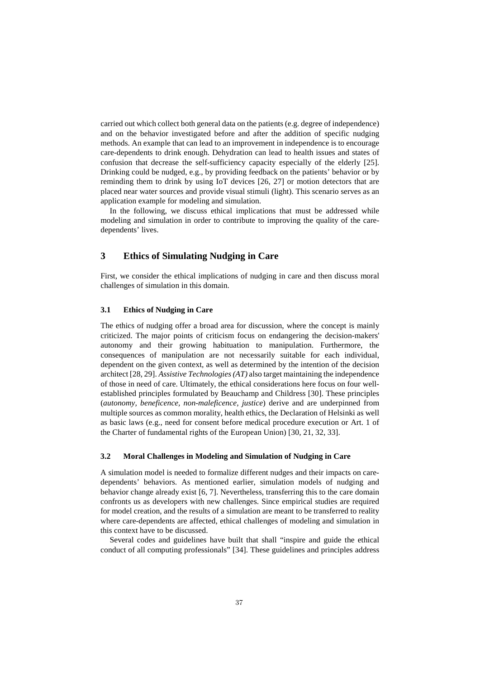carried out which collect both general data on the patients (e.g. degree of independence) and on the behavior investigated before and after the addition of specific nudging methods. An example that can lead to an improvement in independence is to encourage care-dependents to drink enough. Dehydration can lead to health issues and states of confusion that decrease the self-sufficiency capacity especially of the elderly [25]. Drinking could be nudged, e.g., by providing feedback on the patients' behavior or by reminding them to drink by using IoT devices [26, 27] or motion detectors that are placed near water sources and provide visual stimuli (light). This scenario serves as an application example for modeling and simulation.

In the following, we discuss ethical implications that must be addressed while modeling and simulation in order to contribute to improving the quality of the caredependents' lives.

## **3 Ethics of Simulating Nudging in Care**

First, we consider the ethical implications of nudging in care and then discuss moral challenges of simulation in this domain.

#### **3.1 Ethics of Nudging in Care**

The ethics of nudging offer a broad area for discussion, where the concept is mainly criticized. The major points of criticism focus on endangering the decision-makers' autonomy and their growing habituation to manipulation. Furthermore, the consequences of manipulation are not necessarily suitable for each individual, dependent on the given context, as well as determined by the intention of the decision architect [28, 29]. *Assistive Technologies (AT)* also target maintaining the independence of those in need of care. Ultimately, the ethical considerations here focus on four wellestablished principles formulated by Beauchamp and Childress [30]. These principles (*autonomy, beneficence, non-maleficence, justice*) derive and are underpinned from multiple sources as common morality, health ethics, the Declaration of Helsinki as well as basic laws (e.g., need for consent before medical procedure execution or Art. 1 of the Charter of fundamental rights of the European Union) [30, 21, 32, 33].

#### **3.2 Moral Challenges in Modeling and Simulation of Nudging in Care**

A simulation model is needed to formalize different nudges and their impacts on caredependents' behaviors. As mentioned earlier, simulation models of nudging and behavior change already exist [6, 7]. Nevertheless, transferring this to the care domain confronts us as developers with new challenges. Since empirical studies are required for model creation, and the results of a simulation are meant to be transferred to reality where care-dependents are affected, ethical challenges of modeling and simulation in this context have to be discussed.

Several codes and guidelines have built that shall "inspire and guide the ethical conduct of all computing professionals" [34]. These guidelines and principles address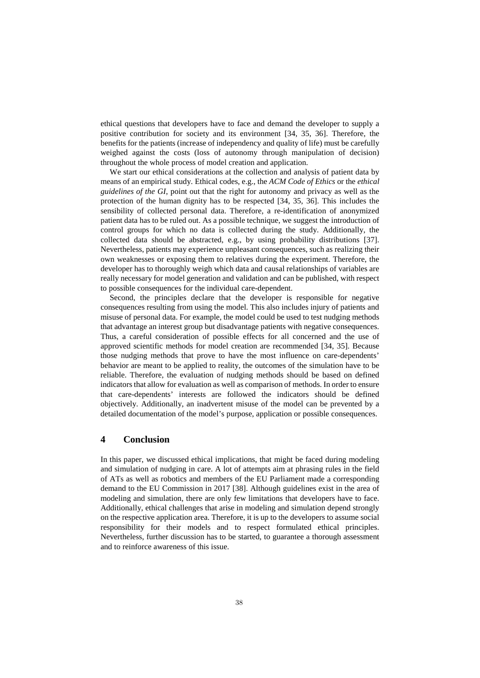ethical questions that developers have to face and demand the developer to supply a positive contribution for society and its environment [34, 35, 36]. Therefore, the benefits for the patients (increase of independency and quality of life) must be carefully weighed against the costs (loss of autonomy through manipulation of decision) throughout the whole process of model creation and application.

We start our ethical considerations at the collection and analysis of patient data by means of an empirical study. Ethical codes, e.g., the *ACM Code of Ethics* or the *ethical guidelines of the GI*, point out that the right for autonomy and privacy as well as the protection of the human dignity has to be respected [34, 35, 36]. This includes the sensibility of collected personal data. Therefore, a re-identification of anonymized patient data has to be ruled out. As a possible technique, we suggest the introduction of control groups for which no data is collected during the study. Additionally, the collected data should be abstracted, e.g., by using probability distributions [37]. Nevertheless, patients may experience unpleasant consequences, such as realizing their own weaknesses or exposing them to relatives during the experiment. Therefore, the developer has to thoroughly weigh which data and causal relationships of variables are really necessary for model generation and validation and can be published, with respect to possible consequences for the individual care-dependent.

Second, the principles declare that the developer is responsible for negative consequences resulting from using the model. This also includes injury of patients and misuse of personal data. For example, the model could be used to test nudging methods that advantage an interest group but disadvantage patients with negative consequences. Thus, a careful consideration of possible effects for all concerned and the use of approved scientific methods for model creation are recommended [34, 35]. Because those nudging methods that prove to have the most influence on care-dependents' behavior are meant to be applied to reality, the outcomes of the simulation have to be reliable. Therefore, the evaluation of nudging methods should be based on defined indicators that allow for evaluation as well as comparison of methods. In order to ensure that care-dependents' interests are followed the indicators should be defined objectively. Additionally, an inadvertent misuse of the model can be prevented by a detailed documentation of the model's purpose, application or possible consequences.

## **4 Conclusion**

In this paper, we discussed ethical implications, that might be faced during modeling and simulation of nudging in care. A lot of attempts aim at phrasing rules in the field of ATs as well as robotics and members of the EU Parliament made a corresponding demand to the EU Commission in 2017 [38]. Although guidelines exist in the area of modeling and simulation, there are only few limitations that developers have to face. Additionally, ethical challenges that arise in modeling and simulation depend strongly on the respective application area. Therefore, it is up to the developers to assume social responsibility for their models and to respect formulated ethical principles. Nevertheless, further discussion has to be started, to guarantee a thorough assessment and to reinforce awareness of this issue.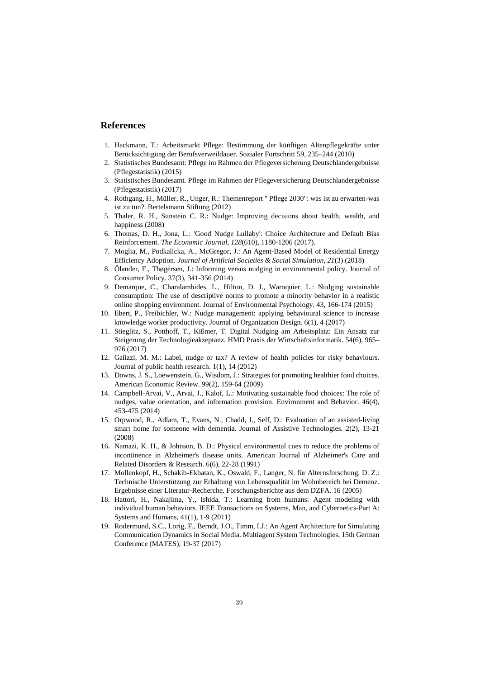## **References**

- 1. Hackmann, T.: Arbeitsmarkt Pflege: Bestimmung der künftigen Altenpflegekräfte unter Berücksichtigung der Berufsverweildauer. Sozialer Fortschritt 59, 235–244 (2010)
- 2. Statistisches Bundesamt: Pflege im Rahmen der Pflegeversicherung Deutschlandergebnisse (Pflegestatistik) (2015)
- 3. Statistisches Bundesamt. Pflege im Rahmen der Pflegeversicherung Deutschlandergebnisse (Pflegestatistik) (2017)
- 4. Rothgang, H., Müller, R., Unger, R.: Themenreport " Pflege 2030": was ist zu erwarten-was ist zu tun?. Bertelsmann Stiftung (2012)
- 5. Thaler, R. H., Sunstein C. R.: Nudge: Improving decisions about health, wealth, and happiness (2008)
- 6. Thomas, D. H., Jona, L.: 'Good Nudge Lullaby': Choice Architecture and Default Bias Reinforcement. *The Economic Journal*, *128*(610), 1180-1206 (2017).
- 7. Moglia, M., Podkalicka, A., McGregor, J.: An Agent-Based Model of Residential Energy Efficiency Adoption. *Journal of Artificial Societies & Social Simulation*, *21*(3) (2018)
- 8. Ölander, F., Thøgersen, J.: Informing versus nudging in environmental policy. Journal of Consumer Policy. 37(3), 341-356 (2014)
- 9. Demarque, C., Charalambides, L., Hilton, D. J., Waroquier, L.: Nudging sustainable consumption: The use of descriptive norms to promote a minority behavior in a realistic online shopping environment. Journal of Environmental Psychology. 43, 166-174 (2015)
- 10. Ebert, P., Freibichler, W.: Nudge management: applying behavioural science to increase knowledge worker productivity. Journal of Organization Design. 6(1), 4 (2017)
- 11. Stieglitz, S., Potthoff, T., Kißmer, T. Digital Nudging am Arbeitsplatz: Ein Ansatz zur Steigerung der Technologieakzeptanz. HMD Praxis der Wirtschaftsinformatik. 54(6), 965– 976 (2017)
- 12. Galizzi, M. M.: Label, nudge or tax? A review of health policies for risky behaviours. Journal of public health research. 1(1), 14 (2012)
- 13. Downs, J. S., Loewenstein, G., Wisdom, J.: Strategies for promoting healthier food choices. American Economic Review. 99(2), 159-64 (2009)
- 14. Campbell-Arvai, V., Arvai, J., Kalof, L.: Motivating sustainable food choices: The role of nudges, value orientation, and information provision. Environment and Behavior. 46(4), 453-475 (2014)
- 15. Orpwood, R., Adlam, T., Evans, N., Chadd, J., Self, D.: Evaluation of an assisted-living smart home for someone with dementia. Journal of Assistive Technologies. 2(2), 13-21 (2008)
- 16. Namazi, K. H., & Johnson, B. D.: Physical environmental cues to reduce the problems of incontinence in Alzheimer's disease units. American Journal of Alzheimer's Care and Related Disorders & Research. 6(6), 22-28 (1991)
- 17. Mollenkopf, H., Schakib-Ekbatan, K., Oswald, F., Langer, N. für Alternsforschung, D. Z.: Technische Unterstützung zur Erhaltung von Lebensqualität im Wohnbereich bei Demenz. Ergebnisse einer Literatur-Recherche. Forschungsberichte aus dem DZFA. 16 (2005)
- 18. Hattori, H., Nakajima, Y., Ishida, T.: Learning from humans: Agent modeling with individual human behaviors. IEEE Transactions on Systems, Man, and Cybernetics-Part A: Systems and Humans, 41(1), 1-9 (2011)
- 19. Rodermund, S.C., Lorig, F., Berndt, J.O., Timm, I.J.: An Agent Architecture for Simulating Communication Dynamics in Social Media. Multiagent System Technologies, 15th German Conference (MATES), 19-37 (2017)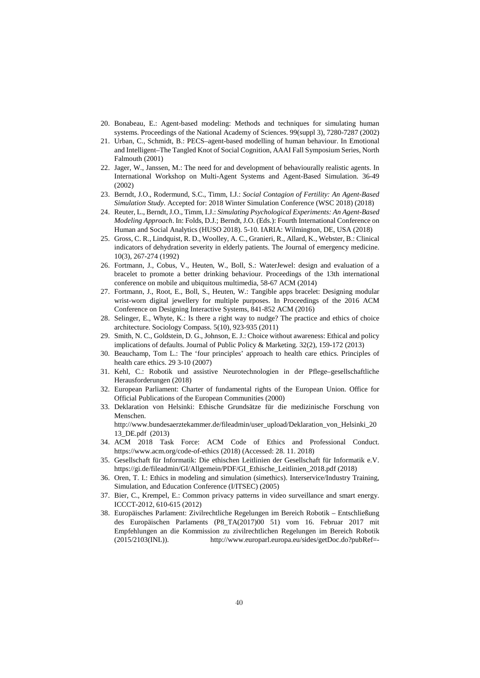- 20. Bonabeau, E.: Agent-based modeling: Methods and techniques for simulating human systems. Proceedings of the National Academy of Sciences. 99(suppl 3), 7280-7287 (2002)
- 21. Urban, C., Schmidt, B.: PECS–agent-based modelling of human behaviour. In Emotional and Intelligent–The Tangled Knot of Social Cognition, AAAI Fall Symposium Series, North Falmouth (2001)
- 22. Jager, W., Janssen, M.: The need for and development of behaviourally realistic agents. In International Workshop on Multi-Agent Systems and Agent-Based Simulation. 36-49 (2002)
- 23. Berndt, J.O., Rodermund, S.C., Timm, I.J.: *Social Contagion of Fertility: An Agent-Based Simulation Study*. Accepted for: 2018 Winter Simulation Conference (WSC 2018) (2018)
- 24. Reuter, L., Berndt, J.O., Timm, I.J.: *Simulating Psychological Experiments: An Agent-Based Modeling Approach*. In: Folds, D.J.; Berndt, J.O. (Eds.): Fourth International Conference on Human and Social Analytics (HUSO 2018). 5-10. IARIA: Wilmington, DE, USA (2018)
- 25. Gross, C. R., Lindquist, R. D., Woolley, A. C., Granieri, R., Allard, K., Webster, B.: Clinical indicators of dehydration severity in elderly patients. The Journal of emergency medicine. 10(3), 267-274 (1992)
- 26. Fortmann, J., Cobus, V., Heuten, W., Boll, S.: WaterJewel: design and evaluation of a bracelet to promote a better drinking behaviour. Proceedings of the 13th international conference on mobile and ubiquitous multimedia, 58-67 ACM (2014)
- 27. Fortmann, J., Root, E., Boll, S., Heuten, W.: Tangible apps bracelet: Designing modular wrist-worn digital jewellery for multiple purposes. In Proceedings of the 2016 ACM Conference on Designing Interactive Systems, 841-852 ACM (2016)
- 28. Selinger, E., Whyte, K.: Is there a right way to nudge? The practice and ethics of choice architecture. Sociology Compass. 5(10), 923-935 (2011)
- 29. Smith, N. C., Goldstein, D. G., Johnson, E. J.: Choice without awareness: Ethical and policy implications of defaults. Journal of Public Policy & Marketing. 32(2), 159-172 (2013)
- 30. Beauchamp, Tom L.: The 'four principles' approach to health care ethics. Principles of health care ethics. 29 3-10 (2007)
- 31. Kehl, C.: Robotik und assistive Neurotechnologien in der Pflege–gesellschaftliche Herausforderungen (2018)
- 32. European Parliament: Charter of fundamental rights of the European Union. Office for Official Publications of the European Communities (2000)
- 33. Deklaration von Helsinki: Ethische Grundsätze für die medizinische Forschung von Menschen. http://www.bundesaerztekammer.de/fileadmin/user\_upload/Deklaration\_von\_Helsinki\_20

13\_DE.pdf (2013)

- 34. ACM 2018 Task Force: ACM Code of Ethics and Professional Conduct. <https://www.acm.org/code-of-ethics> (2018) (Accessed: 28. 11. 2018)
- 35. Gesellschaft für Informatik: Die ethischen Leitlinien der Gesellschaft für Informatik e.V. [https://gi.de/fileadmin/GI/Allgemein/PDF/GI\\_Ethische\\_Leitlinien\\_2018.pdf](https://gi.de/fileadmin/GI/Allgemein/PDF/GI_Ethische_Leitlinien_2018.pdf) (2018)
- 36. Oren, T. I.: Ethics in modeling and simulation (simethics). Interservice/Industry Training, Simulation, and Education Conference (I/ITSEC) (2005)
- 37. Bier, C., Krempel, E.: Common privacy patterns in video surveillance and smart energy. ICCCT-2012, 610-615 (2012)
- 38. Europäisches Parlament: Zivilrechtliche Regelungen im Bereich Robotik Entschließung des Europäischen Parlaments (P8\_TA(2017)00 51) vom 16. Februar 2017 mit Empfehlungen an die Kommission zu zivilrechtlichen Regelungen im Bereich Robotik (2015/2103(INL)). http://www.europarl.europa.eu/sides/getDoc.do?pubRef=-